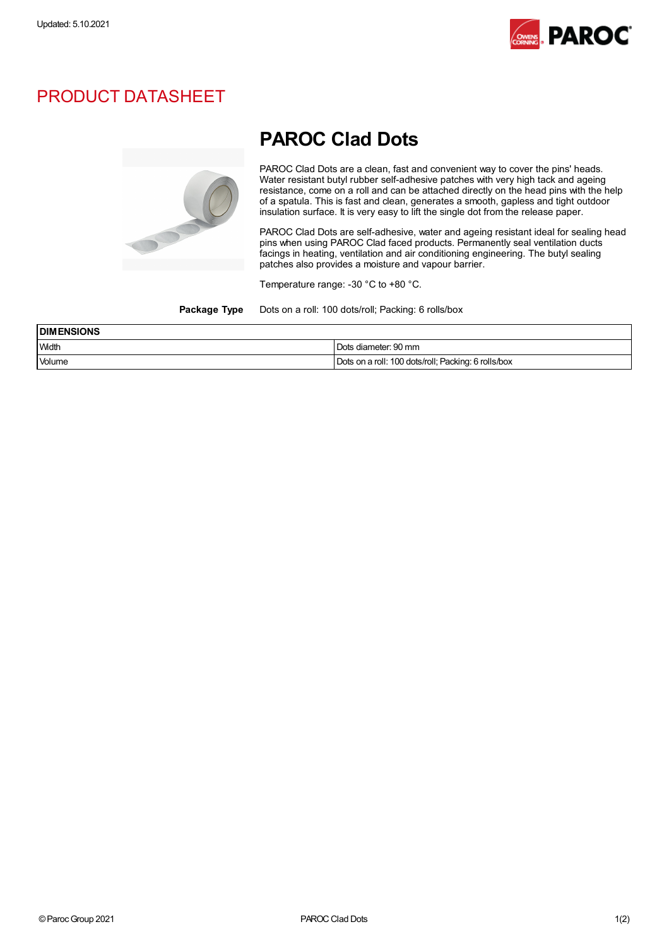

## PRODUCT DATASHEET



## PAROC Clad Dots

PAROC Clad Dots are <sup>a</sup> clean, fast and convenient way to cover the pins' heads. Water resistant butyl rubber self-adhesive patches with very high tack and ageing resistance, come on a roll and can be attached directly on the head pins with the help of a spatula. This is fast and clean, generates a smooth, gapless and tight outdoor insulation surface. It is very easy to lift the single dot from the release paper.

PAROC Clad Dots are self-adhesive, water and ageing resistant ideal for sealing head pins when using PAROC Clad faced products. Permanently seal ventilation ducts facings in heating, ventilation and air conditioning engineering. The butyl sealing patches also provides a moisture and vapour barrier.

Temperature range: -30 °C to +80 °C.

Package Type Dots on a roll: 100 dots/roll; Packing: 6 rolls/box

| <b>DIMENSIONS</b> |                                                     |
|-------------------|-----------------------------------------------------|
| <b>Width</b>      | Dots diameter: 90 mm                                |
| Volume            | Dots on a roll: 100 dots/roll; Packing: 6 rolls/box |